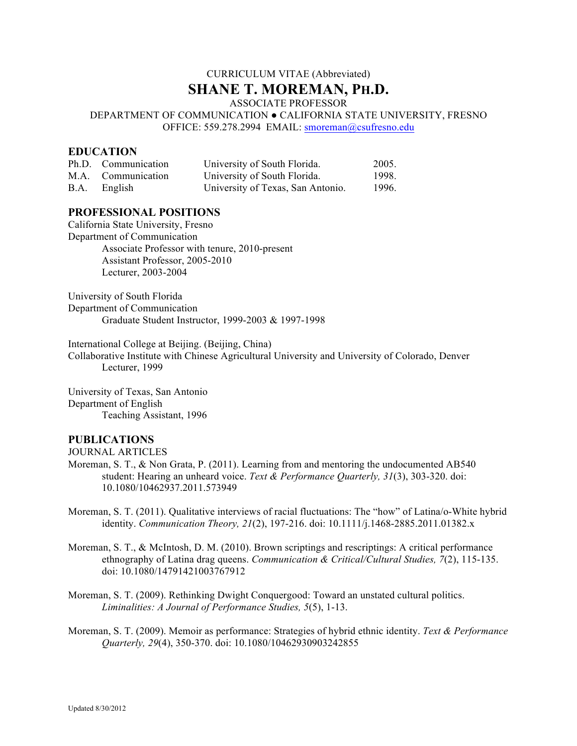# CURRICULUM VITAE (Abbreviated) **SHANE T. MOREMAN, PH.D.**

ASSOCIATE PROFESSOR

DEPARTMENT OF COMMUNICATION ● CALIFORNIA STATE UNIVERSITY, FRESNO OFFICE: 559.278.2994 EMAIL: smoreman@csufresno.edu

### **EDUCATION**

| Ph.D. Communication | University of South Florida.      | 2005. |
|---------------------|-----------------------------------|-------|
| M.A. Communication  | University of South Florida.      | 1998. |
| B.A. English        | University of Texas, San Antonio. | 1996. |

### **PROFESSIONAL POSITIONS**

California State University, Fresno Department of Communication Associate Professor with tenure, 2010-present Assistant Professor, 2005-2010 Lecturer, 2003-2004

University of South Florida Department of Communication Graduate Student Instructor, 1999-2003 & 1997-1998

International College at Beijing. (Beijing, China)

Collaborative Institute with Chinese Agricultural University and University of Colorado, Denver Lecturer, 1999

University of Texas, San Antonio Department of English Teaching Assistant, 1996

#### **PUBLICATIONS**

JOURNAL ARTICLES

- Moreman, S. T., & Non Grata, P. (2011). Learning from and mentoring the undocumented AB540 student: Hearing an unheard voice. *Text & Performance Quarterly, 31*(3), 303-320. doi: 10.1080/10462937.2011.573949
- Moreman, S. T. (2011). Qualitative interviews of racial fluctuations: The "how" of Latina/o-White hybrid identity. *Communication Theory, 21*(2), 197-216. doi: 10.1111/j.1468-2885.2011.01382.x
- Moreman, S. T., & McIntosh, D. M. (2010). Brown scriptings and rescriptings: A critical performance ethnography of Latina drag queens. *Communication & Critical/Cultural Studies, 7*(2), 115-135. doi: 10.1080/14791421003767912
- Moreman, S. T. (2009). Rethinking Dwight Conquergood: Toward an unstated cultural politics. *Liminalities: A Journal of Performance Studies, 5*(5), 1-13.
- Moreman, S. T. (2009). Memoir as performance: Strategies of hybrid ethnic identity. *Text & Performance Quarterly, 29*(4), 350-370. doi: 10.1080/10462930903242855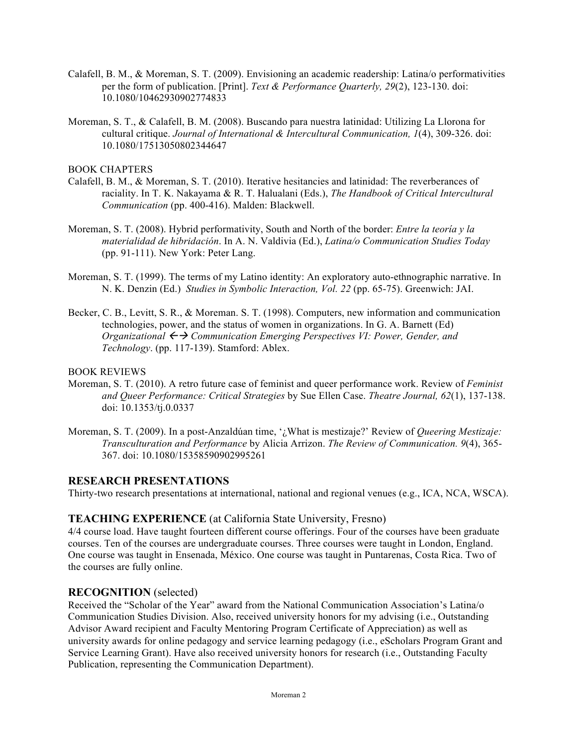- Calafell, B. M., & Moreman, S. T. (2009). Envisioning an academic readership: Latina/o performativities per the form of publication. [Print]. *Text & Performance Quarterly, 29*(2), 123-130. doi: 10.1080/10462930902774833
- Moreman, S. T., & Calafell, B. M. (2008). Buscando para nuestra latinidad: Utilizing La Llorona for cultural critique. *Journal of International & Intercultural Communication, 1*(4), 309-326. doi: 10.1080/17513050802344647

BOOK CHAPTERS

- Calafell, B. M., & Moreman, S. T. (2010). Iterative hesitancies and latinidad: The reverberances of raciality. In T. K. Nakayama & R. T. Halualani (Eds.), *The Handbook of Critical Intercultural Communication* (pp. 400-416). Malden: Blackwell.
- Moreman, S. T. (2008). Hybrid performativity, South and North of the border: *Entre la teoría y la materialidad de hibridación*. In A. N. Valdivia (Ed.), *Latina/o Communication Studies Today* (pp. 91-111). New York: Peter Lang.
- Moreman, S. T. (1999). The terms of my Latino identity: An exploratory auto-ethnographic narrative. In N. K. Denzin (Ed.) *Studies in Symbolic Interaction, Vol. 22* (pp. 65-75). Greenwich: JAI.
- Becker, C. B., Levitt, S. R., & Moreman. S. T. (1998). Computers, new information and communication technologies, power, and the status of women in organizations. In G. A. Barnett (Ed) *Organizational*  $\leftrightarrow$  *Communication Emerging Perspectives VI: Power, Gender, and Technology*. (pp. 117-139). Stamford: Ablex.

BOOK REVIEWS

- Moreman, S. T. (2010). A retro future case of feminist and queer performance work. Review of *Feminist and Queer Performance: Critical Strategies* by Sue Ellen Case. *Theatre Journal, 62*(1), 137-138. doi: 10.1353/tj.0.0337
- Moreman, S. T. (2009). In a post-Anzaldúan time, '¿What is mestizaje?' Review of *Queering Mestizaje: Transculturation and Performance* by Alicia Arrizon. *The Review of Communication. 9*(4), 365- 367. doi: 10.1080/15358590902995261

#### **RESEARCH PRESENTATIONS**

Thirty-two research presentations at international, national and regional venues (e.g., ICA, NCA, WSCA).

#### **TEACHING EXPERIENCE** (at California State University, Fresno)

4/4 course load. Have taught fourteen different course offerings. Four of the courses have been graduate courses. Ten of the courses are undergraduate courses. Three courses were taught in London, England. One course was taught in Ensenada, México. One course was taught in Puntarenas, Costa Rica. Two of the courses are fully online.

#### **RECOGNITION** (selected)

Received the "Scholar of the Year" award from the National Communication Association's Latina/o Communication Studies Division. Also, received university honors for my advising (i.e., Outstanding Advisor Award recipient and Faculty Mentoring Program Certificate of Appreciation) as well as university awards for online pedagogy and service learning pedagogy (i.e., eScholars Program Grant and Service Learning Grant). Have also received university honors for research (i.e., Outstanding Faculty Publication, representing the Communication Department).